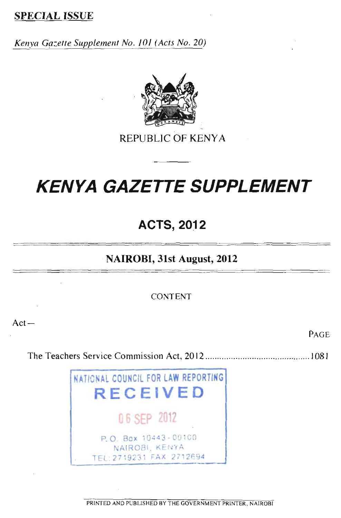# **SPECIAL ISSUE**

*Kenya Gazette Supplement No. /01 (Acts No. 20)* 



REPUBLIC OF KENYA

# *KENYA GAZETTE SUPPLEMENT*

**ACTS, 2012** 

# **NAIROBI, 31st August, 2012**

CONTENT

Act—

PAGE

The Teachers Service Commission Act, 2012 <sup>1081</sup>

NATIONAL COUNCIL FOR LAW REPORTING **RECEIVED**  06 SEP 2012 P. O. Box 10443-00100 NAIROBI, KENYA TEL:2719231 FAX 2712694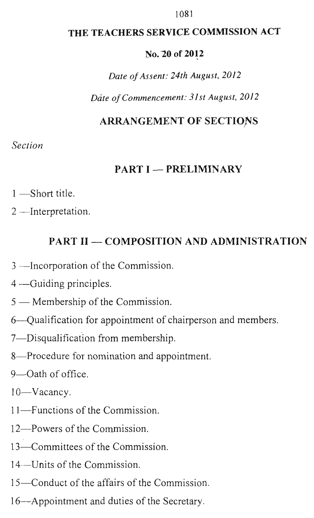#### 1081

# **THE TEACHERS SERVICE COMMISSION ACT**

## No.20 of **2012**

*Date of Assent: 24th August, 2012* 

*Date of Commencement: 3 I st August, 2012* 

# **ARRANGEMENT OF SECTIO**N**S**

# *Section*

# **PART I — PRELIMINARY**

- 1 —Short title.
- 2 —Interpretation.

# **PART II — COMPOSITION AND ADMINISTRATION**

- 3 —Incorporation of the Commission.
- 4 —Guiding principles.
- 5 Membership of the Commission.
- 6—Qualification for appointment of chairperson and members.
- 7—Disqualification from membership.
- 8—Procedure for nomination and appointment.
- 9—Oath of office.
- 10—Vacancy.
- 11—Functions of the Commission.
- 12—Powers of the Commission.
- 13—Committees of the Commission.
- 14—Units of the Commission.
- 15—Conduct of the affairs of the Commission.
- 16—Appointment and duties of the Secretary.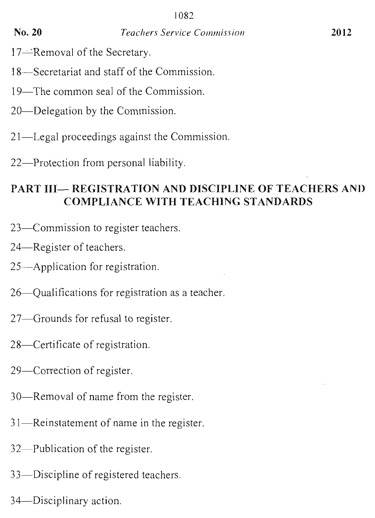- 17—Removal of the Secretary.
- 18—Secretariat and staff of the Commission.
- 19—The common seal of the Commission.
- 20—Delegation by the Commission.
- 21—Legal proceedings against the Commission.
- 22—Protection from personal liability.

# **PART III— REGISTRATION AND DISCIPLINE OF TEACHERS AND COMPLIANCE WITH TEACHING STANDARDS**

- 23—Commission to register teachers.
- 24—Register of teachers.
- 25—Application for registration.
- 26—Qualifications for registration as a teacher.
- 27—Grounds for refusal to register.
- 28—Certificate of registration.
- 29—Correction of register.
- 30—Removal of name from the register.
- 31—Reinstatement of name in the register.
- 32—Publication of the register.
- 33—Discipline of registered teachers.
- 34—Disciplinary action.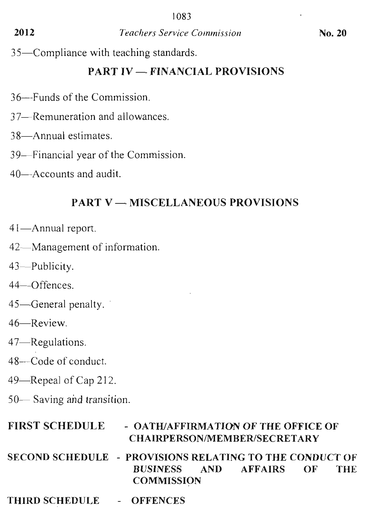35—Compliance with teaching standards.

# **PART IV — FINANCIAL PROVISIONS**

- 36--Funds of the Commission.
- 37—Remuneration and allowances.
- 38—Annual estimates.
- 39—Financial year of the Commission.
- 40—Accounts and audit.

# **PART V — MISCELLANEOUS PROVISIONS**

- 41—Annual report.
- 42—Management of information.
- 43—Publicity.
- 44—Offences.
- 45—General penalty.
- 46—Review.
- 47—Regulations.
- 48—Code of conduct.
- 49—Repeal of Cap 212.
- 50— Saving and transition.

# **FIRST SCHEDULE - OATH/AFFIRMATION OF THE OFFICE OF CHAIRPERSON/MEMBER/SECRETARY**

- **SECOND SCHEDULE PROVISIONS RELATING TO THE CONDUCT OF BUSINESS AND AFFAIRS OF COMMISSION**
- **THIRD SCHEDULE OFFENCES**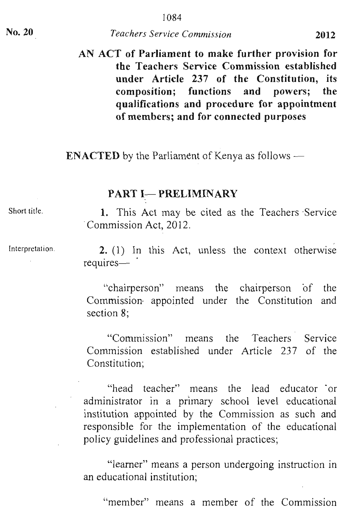# **AN ACT of Parliament to make further provision for the Teachers Service Commission established under Article 237 of the Constitution, its composition; functions and powers; the qualifications and procedure for appointment of members; and for connected purposes**

**ENACTED** by the Parliament of Kenya as follows —

### **PART I-PRELIMINARY**

1. This Act may be cited as the Teachers Service Commission Act, 2012.

2. (1) In this Act, unless the context otherwise requires—

"chairperson" means the chairperson of the Commission. appointed under the Constitution and section 8;

"Commission" means the Teachers Service Commission established under Article 237 of the Constitution;

"head teacher" means the lead educator or administrator in a primary school level educational institution appointed by the Commission as such and responsible for the implementation of the educational policy guidelines and professional practices;

"learner" means a person undergoing instruction in an educational institution;

"member" means a member of the Commission

Short title.

Interpretation.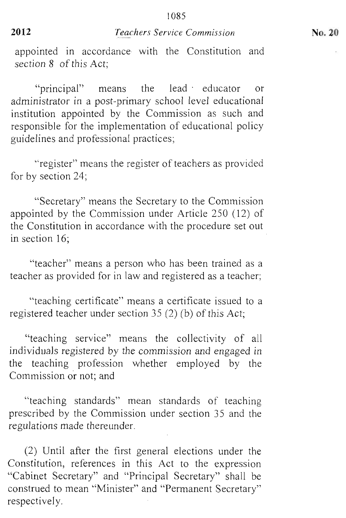appointed in accordance with the Constitution and section 8 of this Act;

"principal" means the lead educator or administrator in a post-primary school level educational institution appointed by the Commission as such and responsible for the implementation of educational policy guidelines and professional practices;

"register" means the register of teachers as provided for by section 24;

"Secretary" means the Secretary to the Commission appointed by the Commission under Article 250 (12) of the Constitution in accordance with the procedure set out in section 16;

"teacher" means a person who has been trained as a teacher as provided for in law and registered as a teacher;

"teaching certificate" means a certificate issued to a registered teacher under section 35 (2) (b) of this Act;

"teaching service" means the collectivity of all individuals registered by the commission and engaged in the teaching profession whether employed by the Commission or not; and

"teaching standards" mean standards of teaching prescribed by the Commission under section 35 and the regulations made thereunder.

(2) Until after the first general elections under the Constitution, references in this Act to the expression "Cabinet Secretary" and "Principal Secretary" shall be construed to mean "Minister" and "Permanent Secretary" respectively.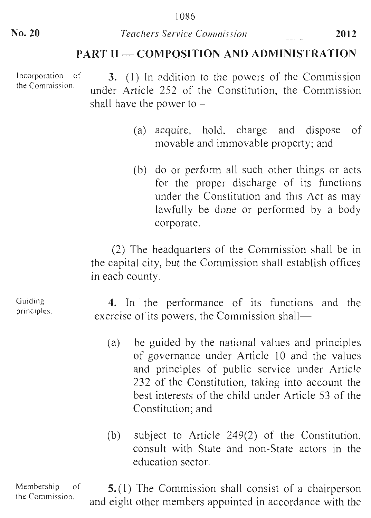# PART II — COMPOSITION AND ADMINISTRATION

Incorporation of the Commission. 3. (1) In addition to the powers of the Commission under Article 252 of the Constitution, the Commission shall have the power to –

- (a) acquire, hold, charge and dispose of movable and immovable property; and
- (b) do or perform all such other things or acts for the proper discharge of its functions under the Constitution and this Act as may lawfully be done or performed by a body corporate.

(2) The headquarters of the Commission shall be in the capital city, but the Commission shall establish offices in each county.

4. In the performance of its functions and the exercise of its powers, the Commission shall—

- (a) be guided by the national values and principles of governance under Article 10 and the values and principles of public service under Article 232 of the Constitution, taking into account the best interests of the child under Article 53 of the Constitution; and
- (b) subject to Article 249(2) of the Constitution, consult with State and non-State actors in the education sector.

Membership of  $\mathbf{5}.(1)$  The Commission shall consist of a chairperson the Commission. and eight other members appointed in accordance with the

Guiding principles.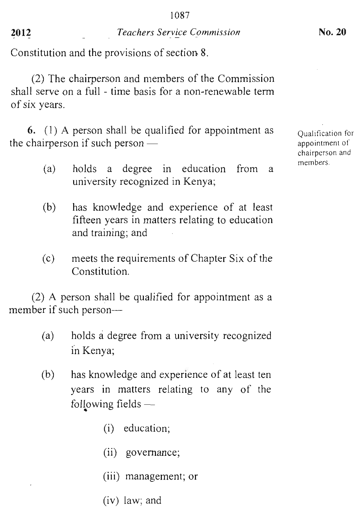Constitution and the provisions of section 8.

(2) The chairperson and members of the Commission shall serve on a full - time basis for a non-renewable term of six years.

**6.** (1) A person shall be qualified for appointment as the chairperson if such person  $-$ 

- (a) holds a degree in education from a university recognized in Kenya;
- (b) has knowledge and experience of at least fifteen years in matters relating to education and training; and
- (c) meets the requirements of Chapter Six of the Constitution.

(2) A person shall be qualified for appointment as a member if such person—

- (a) holds a degree from a university recognized in Kenya;
- (b) has knowledge and experience of at least ten years in matters relating to any of the following fields —
	- (i) education;
	- (ii) governance;
	- (iii) management; or
	- (iv) law; and

Qualification for appointment of chairperson and members.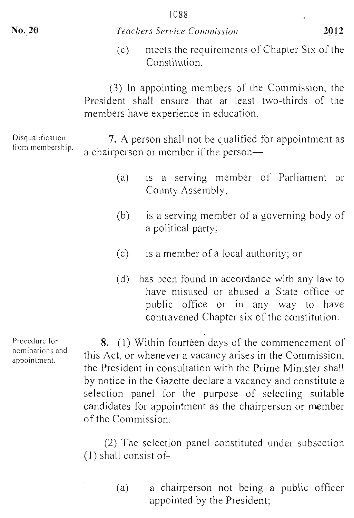(c) meets the requirements of Chapter Six of the Constitution.

(3) In appointing members of the Commission, the President shall ensure that at least two-thirds of the members have experience in education.

Disqualification 7. A person shall not be qualified for appointment as a chairperson or member if the person—

- (a) is a serving member of Parliament or County Assembly;
- (b) is a serving member of a governing body of a political party;
- (c) is a member of a local authority; or
- (d) has been found in accordance with any law to have misused or abused a State office or public office or in any way to have contravened Chapter six of the constitution.

**8.** (1) Within fourteen days of the commencement of this Act, or whenever a vacancy arises in the Commission, the President in consultation with the Prime Minister shall by notice in the Gazette declare a vacancy and constitute a selection panel for the purpose of selecting suitable candidates for appointment as the chairperson or member of the Commission.

(2) The selection panel constituted under subsection (1) shall consist of—

> (a) a chairperson not being a public officer appointed by the President;

Procedure for nominations and appointment.

from membership.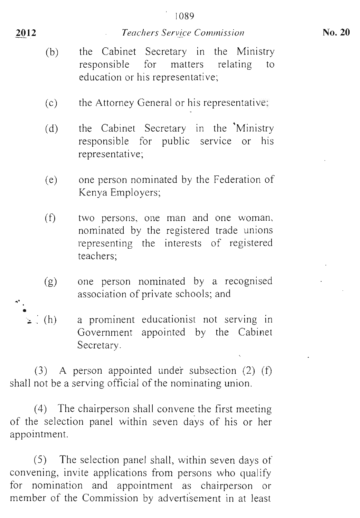- (b) the Cabinet Secretary in the Ministry responsible for matters relating to education or his representative;
- (c) the Attorney General or his representative;
- (d) the Cabinet Secretary in the Ministry responsible for public service or his representative;
- (e) one person nominated by the Federation of Kenya Employers;
- (f) two persons, one man and one woman, nominated by the registered trade unions representing the interests of registered teachers;
- (g) one person nominated by a recognised association of private schools; and
- (h) a prominent educationist not serving in Government appointed by the Cabinet Secretary.

(3) A person appointed under subsection (2) (f) shall not be a serving official of the nominating union.

(4) The chairperson shall convene the first meeting of the selection panel within seven days of his or her appointment.

(5) The selection panel shall, within seven days of convening, invite applications from persons who qualify for nomination and appointment as chairperson or member of the Commission by advertisement in at least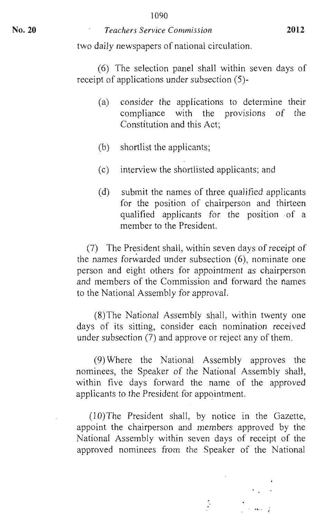#### 1090

#### **No. 20** *Teachers Service Commission* **<sup>2012</sup>**

two daily newspapers of national circulation.

(6) The selection panel shall within seven days of receipt of applications under subsection (5)-

- (a) consider the applications to determine their compliance with the provisions of the Constitution and this Act;
- (b) shortlist the applicants;
- (c) interview the shortlisted applicants; and
- (d) submit the names of three qualified applicants for the position of chairperson and thirteen qualified applicants for the position of a member to the President.

(7) The President shall, within seven days of receipt of the names forwarded under subsection (6), nominate one person and eight others for appointment as chairperson and members of the Commission and forward the names to the National Assembly for approval.

(8)The National Assembly shall, within twenty one days of its sitting, consider each nomination received under subsection (7) and approve or reject any of them.

(9) Where the National Assembly approves the nominees, the Speaker of the National Assembly shall, within five days forward the name of the approved applicants to the President for appointment.

(10)The President shall, by notice in the Gazette, appoint the chairperson and members approved by the National Assembly within seven days of receipt of the approved nominees from the Speaker of the National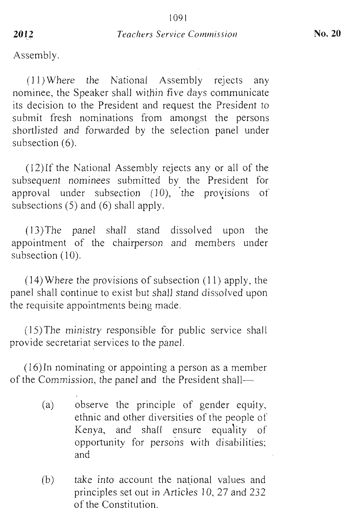Assembly.

(1 1) Where the National Assembly rejects any nominee, the Speaker shall within five days communicate its decision to the President and request the President to submit fresh nominations from amongst the persons shortlisted and forwarded by the selection panel under subsection (6).

(12)If the National Assembly rejects any or all of the subsequent nominees submitted by the President for approval under subsection  $(10)$ , the provisions of subsections (5) and (6) shall apply.

(13)The panel shall stand dissolved upon the appointment of the chairperson and members under subsection  $(10)$ .

(14) Where the provisions of subsection (11) apply, the panel shall continue to exist but shall stand dissolved upon the requisite appointments being made.

(15)The ministry responsible for public service shall provide secretariat services to the panel.

(16)In nominating or appointing a person as a member of the Commission, the panel and the President shall—

- (a) observe the principle of gender equity, ethnic and other diversities of the people of Kenya, and shall ensure equality of opportunity for persons with disabilities; and
- (b) take into account the national values and principles set out in Articles 10, 27 and 232 of the Constitution.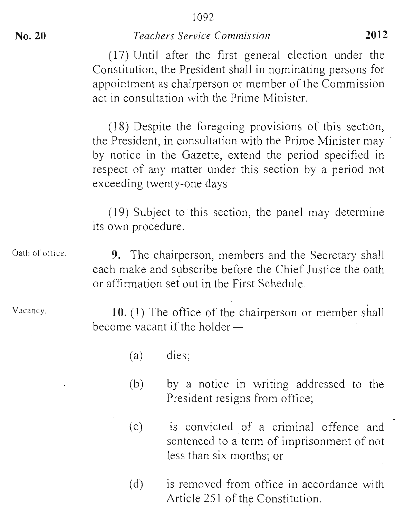(17) Until after the first general election under the Constitution, the President shall in nominating persons for appointment as chairperson or member of the Commission act in consultation with the Prime Minister.

(18) Despite the foregoing provisions of this section, the President, in consultation with the Prime Minister may by notice in the Gazette, extend the period specified in respect of any matter under this section by a period not exceeding twenty-one days

(19) Subject to-this section, the panel may determine its own procedure.

Oath of office. 9. The chairperson, members and the Secretary shall each make and subscribe before the Chief Justice the oath or affirmation set out in the First Schedule.

Vacancy.

10. (1) The office of the chairperson or member shall become vacant if the holder—

- (a) dies;
- (b) by a notice in writing addressed to the President resigns from office;
- (c) is convicted of a criminal offence and sentenced to a term of imprisonment of not less than six months; or
- (d) is removed from office in accordance with Article 251 of the Constitution.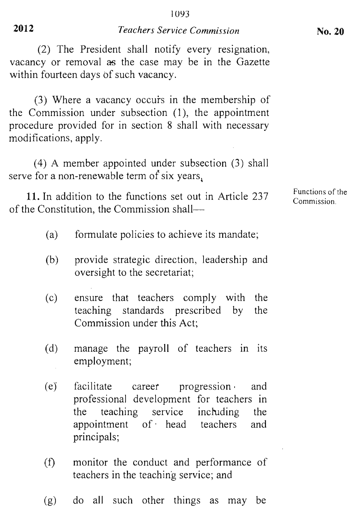(2) The President shall notify every resignation, vacancy or removal as the case may be in the Gazette within fourteen days of such vacancy.

(3) Where a vacancy occurs in the membership of the Commission under subsection (1), the appointment procedure provided for in section 8 shall with necessary modifications, apply.

(4) A member appointed under subsection (3) shall serve for a non-renewable term of six years,

11. In addition to the functions set out in Article 237 of the Constitution, the Commission shall—

- (a) formulate policies to achieve its mandate;
- (b) provide strategic direction, leadership and oversight to the secretariat;
- (c) ensure that teachers comply with the teaching standards prescribed by the Commission under this Act;
- (d) manage the payroll of teachers in its employment;
- (e) facilitate career progression and professional development for teachers in<br>the teaching service including the the teaching service including the<br>appointment of head teachers and appointment of . head teachers and principals;
- (f) monitor the conduct and performance of teachers in the teaching service; and
- (g) do all such other things as may be

Functions of the Commission.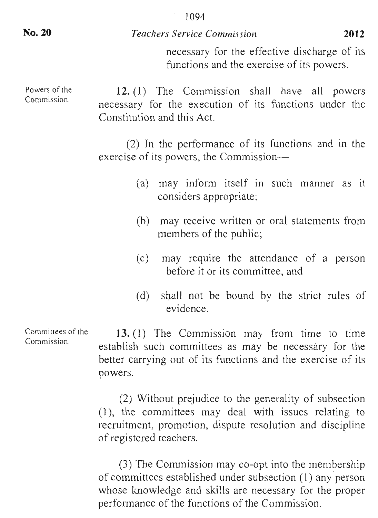necessary for the effective discharge of its functions and the exercise of its powers.

Powers of the Commission. 12. (1) The Commission shall have all powers necessary for the execution of its functions under the Constitution and this Act.

> (2) In the performance of its functions and in the exercise of its powers, the Commission—

- (a) may inform itself in such manner as it considers appropriate;
- (b) may receive written or oral statements from members of the public;
- (c) may require the attendance of a person before it or its committee, and
- (d) shall not be bound by the strict rules of evidence.

13. (1) The Commission may from time to time establish such committees as may be necessary for the better carrying out of its functions and the exercise of its powers.

(2) Without prejudice to the generality of subsection (1), the committees may deal with issues relating to recruitment, promotion, dispute resolution and discipline of registered teachers.

(3) The Commission may co-opt into the membership of committees established under subsection (1) any person whose knowledge and skills are necessary for the proper performance of the functions of the Commission.

Committees of the Commission.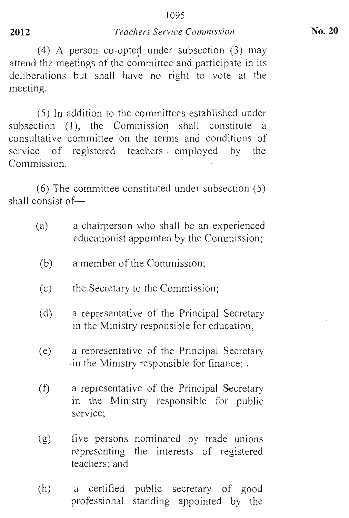(4) A person co-opted under subsection (3) may attend the meetings of the committee and participate in its deliberations but shall have no right to vote at the meeting.

(5) In addition to the committees established under subsection (1), the Commission shall constitute a consultative committee on the terms and conditions of service of registered teachers . employed by the Commission.

(6) The committee constituted under subsection (5) shall consist of—

- (a) a chairperson who shall be an experienced educationist appointed by the Commission;
- (b) a member of the Commission;
- (c) the Secretary to the Commission;
- (d) a representative of the Principal Secretary in the Ministry responsible for education;
- (e) a representative of the Principal Secretary in the Ministry responsible for finance; .
- $(f)$ a representative of the Principal Secretary in the Ministry responsible for public service;
- (g) five persons nominated by trade unions representing the interests of registered teachers; and
- (h) a certified public secretary of good professional standing appointed by the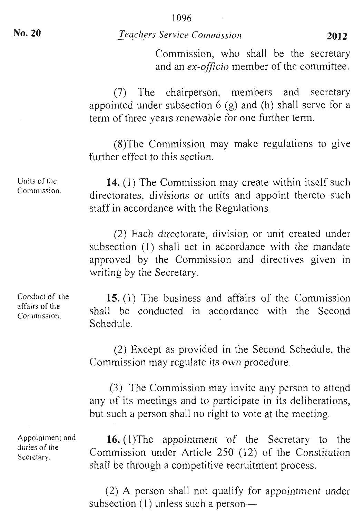Commission, who shall be the secretary and an *ex-officio* member of the committee.

(7) The chairperson, members and secretary appointed under subsection  $6$  (g) and (h) shall serve for a term of three years renewable for one further term.

(8)The Commission may make regulations to give further effect to this section.

**14.** (1) The Commission may create within itself such directorates, divisions or units and appoint thereto such staff in accordance with the Regulations.

(2) Each directorate, division or unit created under subsection (1) shall act in accordance with the mandate approved by the Commission and directives given in writing by the Secretary.

Conduct of the affairs of the Commission.

Units of the Commission.

> **15.** (1) The business and affairs of the Commission shall be conducted in accordance with the Second Schedule.

> (2) Except as provided in the Second Schedule, the Commission may regulate its own procedure.

> (3) The Commission may invite any person to attend any of its meetings and to participate in its deliberations, but such a person shall no right to vote at the meeting.

> 16. (1)The appointment of the Secretary to the Commission under Article 250 (12) of the Constitution shall be through a competitive recruitment process.

> (2) A person shall not qualify for appointment under subsection  $(1)$  unless such a person-

Appointment and duties of the Secretary.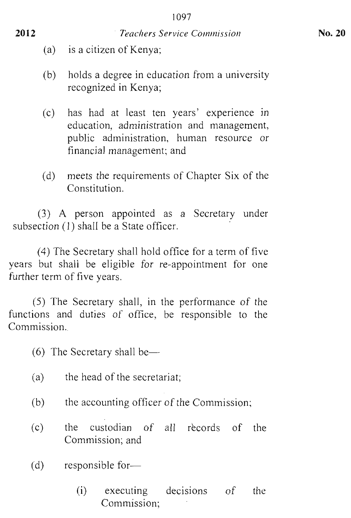- (a) is a citizen of Kenya;
- (b) holds a degree in education from a university recognized in Kenya;
- (c) has had at least ten years' experience in education, administration and management, public administration, human resource or financial management; and
- (d) meets the requirements of Chapter Six of the Constitution.

(3) A person appointed as a Secretary under subsection (1) shall be a State officer.

(4) The Secretary shall hold office for a term of five years but shall be eligible for re-appointment for one further term of five years.

(5) The Secretary shall, in the performance of the functions and duties of office, be responsible to the Commission..

(6) The Secretary shall be—

- (a) the head of the secretariat;
- (b) the accounting officer of the Commission;
- (c) the custodian of all records of the Commission; and
- $(d)$  responsible for-
	- (i) executing decisions of the Commission;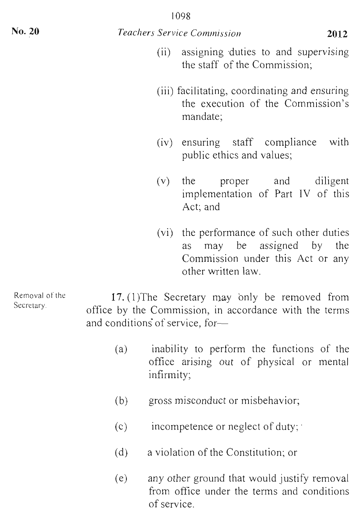- (ii) assigning duties to and supervising the staff of the Commission;
- (iii) facilitating, coordinating and ensuring the execution of the Commission's mandate;
- (iv) ensuring staff compliance with public ethics and values;
- (v) the proper and diligent implementation of Part IV of this Act; and
- (vi) the performance of such other duties as may be assigned by the Commission under this Act or any other written law.

Removal of the Secretary. 17. (1)The Secretary may only be removed from office by the Commission, in accordance with the terms and conditions of service, for—

- (a) inability to perform the functions of the office arising out of physical or mental infirmity;
- (b) gross misconduct or misbehavior;
- (c) incompetence or neglect of duty; •
- (d) a violation of the Constitution; or
- (e) any other ground that would justify removal from office under the terms and conditions of service.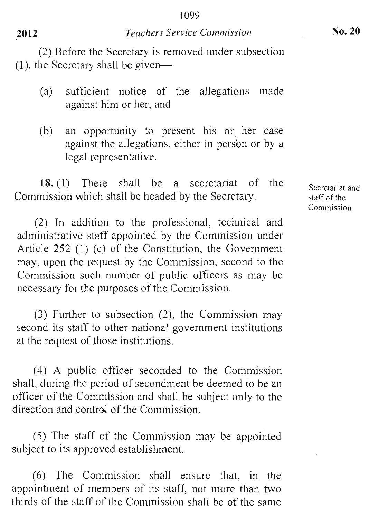(2) Before the Secretary is removed under subsection (1), the Secretary shall be given—

- (a) sufficient notice of the allegations made against him or her; and
- (b) an opportunity to present his or her case against the allegations, either in person or by a legal representative.

**18. (1)** There shall be a secretariat of the Commission which shall be headed by the Secretary.

(2) In addition to the professional, technical and administrative staff appointed by the Commission under Article 252 (1) (c) of the Constitution, the Government may, upon the request by the Commission, second to the Commission such number of public officers as may be necessary for the purposes of the Commission.

(3) Further to subsection (2), the Commission may second its staff to other national government institutions at the request of those institutions.

(4) A public officer seconded to the Commission shall, during the period of secondment be deemed to be an officer of the Commission and shall be subject only to the direction and control of the Commission.

(5) The staff of the Commission may be appointed subject to its approved establishment.

(6) The Commission shall ensure that, in the appointment of members of its staff, not more than two thirds of the staff of the Commission shall be of the same

Secretariat and staff of the Commission.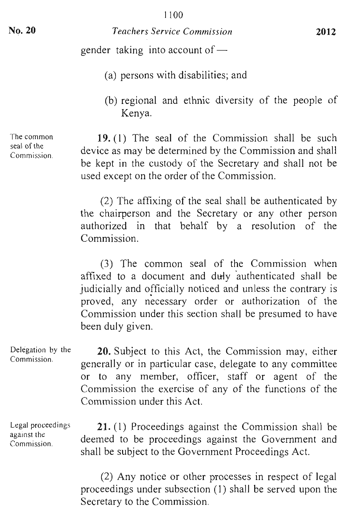gender taking into account of —

- (a) persons with disabilities; and
- (b) regional and ethnic diversity of the people of Kenya.

**19.** (1) The seal of the Commission shall be such device as may be determined by the Commission and shall be kept in the custody of the Secretary and shall not be used except on the order of the Commission.

(2) The affixing of the seal shall be authenticated by the chairperson and the Secretary or any other person authorized in that behalf by a resolution of the Commission.

(3) The common seal of the Commission when affixed to a document and duly 'authenticated shall be judicially and officially noticed and unless the contrary is proved, any necessary order or authorization of the Commission under this section shall be presumed to have been duly given.

Delegation by the **20.** Subject to this Act, the Commission may, either generally or in particular case, delegate to any committee or to any member, officer, staff or agent of the Commission the exercise of any of the functions of the Commission under this Act.

Legal proceedings against the Commission.

Commission.

**21.** (1) Proceedings against the Commission shall be deemed to be proceedings against the Government and shall be subject to the Government Proceedings Act.

(2) Any notice or other processes in respect of legal proceedings under subsection (1) shall be served upon the Secretary to the Commission.

The common seal of the Commission.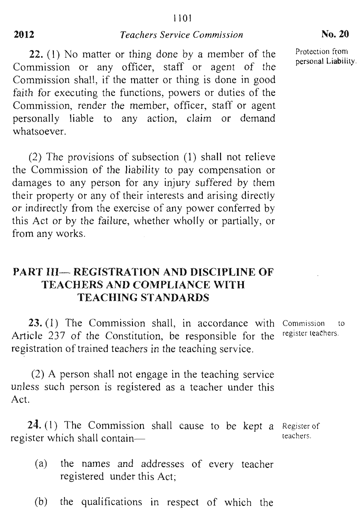**22.** (1) No matter or thing done by a member of the Commission or any officer, staff or agent of the Commission shall, if the matter or thing is done in good faith for executing the functions, powers or duties of the Commission, render the member, officer, staff or agent personally liable to any action, claim or demand whatsoever.

(2) The provisions of subsection (1) shall not relieve the Commission of the liability to pay compensation or damages to any person for any injury suffered by them their property or any of their interests and arising directly or indirectly from the exercise of any power conferred by this Act or by the failure, whether wholly or partially, or from any works.

# **PART III— REGISTRATION AND DISCIPLINE OF TEACHERS AND COMPLIANCE WITH TEACHING STANDARDS**

23. (1) The Commission shall, in accordance with Article 237 of the Constitution, be responsible for the registration of trained teachers in the teaching service. Commission to register teachers.

(2) A person shall not engage in the teaching service unless such person is registered as a teacher under this Act.

 $24. (1)$  The Commission shall cause to be kept a Register of register which shall contain teachers.

- (a) the names and addresses of every teacher registered under this Act;
- (b) the qualifications in respect of which the

Protection from personal Liability.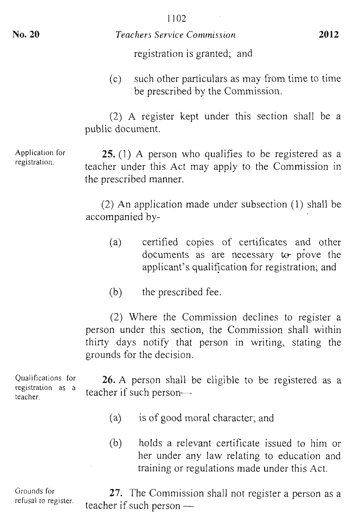registration is granted; and

(c) such other particulars as may from time to time be prescribed by the Commission.

(2) A register kept under this section shall be a public document.

25. (1) A person who qualifies to be registered as a teacher under this Act may apply to the Commission in the prescribed manner.

(2) An application made under subsection (1) shall be accompanied by-

- (a) certified copies of certificates and other documents as are necessary to prove the applicant's qualification for registration; and
- (b) the prescribed fee.

(2) Where the Commission declines to register a person under this section, the Commission shall within thirty days notify that person in writing, stating the grounds for the decision.

 $\alpha$  and  $\alpha$  is formal. Qualifications for registration as a<br>teacher. 26. A person shall be eligible to be registered as a teacher if such person—

- (a) is of good moral character; and
- (b) holds a relevant certificate issued to him or her under any law relating to education and training or regulations made under this Act.

Grounds for Grounds for 27. The Commission shall not register a person as a teacher if such person —

Application for **S**pplication t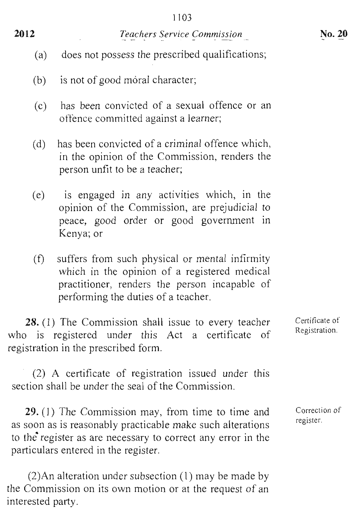- (a) does not possess the prescribed qualifications;
- (b) is not of good moral character;
- (c) has been convicted of a sexual offence or an offence committed against a learner;
- (d) has been convicted of a criminal offence which, in the opinion of the Commission, renders the person unfit to be a teacher;
- (e) is engaged in any activities which, in the opinion of the Commission, are prejudicial to peace, good order or good government in Kenya; or
- (f) suffers from such physical or mental infirmity which in the opinion of a registered medical practitioner, renders the person incapable of performing the duties of a teacher.

28. (1) The Commission shall issue to every teacher who is registered under this Act a certificate of registration in the prescribed form.

(2) A certificate of registration issued under this section shall be under the seal of the Commission.

29. (1) The Commission may, from time to time and as soon as is reasonably practicable make such alterations to the register as are necessary to correct any error in the particulars entered in the register.

(2)An alteration under subsection (1) may be made by the Commission on its own motion or at the request of an interested party.

Certificate of Registration.

Correction of register.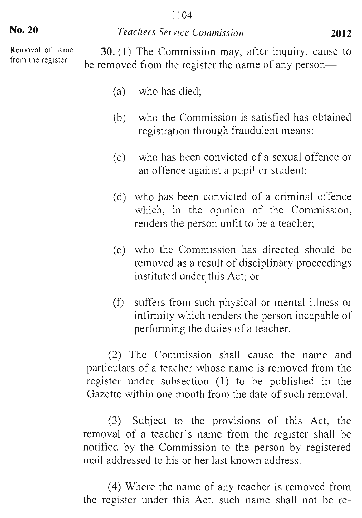#### 1104

#### *Teachers Service Commission* **2012**

**No. 20** 

Removal of name from the register.

**30.** (1) The Commission may, after inquiry, cause to be removed from the register the name of any person—

- (a) who has died;
- (b) who the Commission is satisfied has obtained registration through fraudulent means;
- (c) who has been convicted of a sexual offence or an offence against a pupil or student;
- (d) who has been convicted of a criminal offence which, in the opinion of the Commission, renders the person unfit to be a teacher;
- (e) who the Commission has directed should be removed as a result of disciplinary proceedings instituted under this Act; or
- (f) suffers from such physical or mental illness or infirmity which renders the person incapable of performing the duties of a teacher.

(2) The Commission shall cause the name and particulars of a teacher whose name is removed from the register under subsection (1) to be published in the Gazette within one month from the date of such removal.

(3) Subject to the provisions of this Act, the removal of a teacher's name from the register shall be notified by the Commission to the person by registered mail addressed to his or her last known address.

(4) Where the name of any teacher is removed from the register under this Act, such name shall not be re-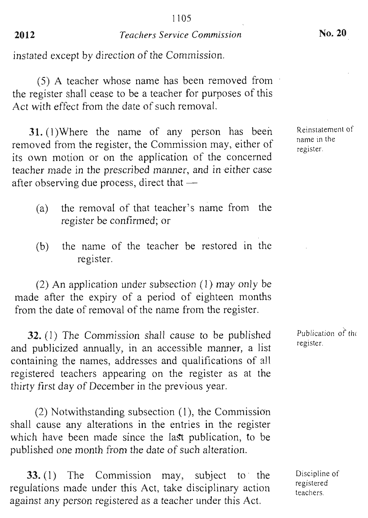instated except by direction of the Commission.

(5) A teacher whose name has been removed from the register shall cease to be a teacher for purposes of this Act with effect from the date of such removal.

31. (1)Where the name of any person has been removed from the register, the Commission may, either of its own motion or on the application of the concerned teacher made in the prescribed manner, and in either case after observing due process, direct that —

- (a) the removal of that teacher's name from the register be confirmed; or
- (b) the name of the teacher be restored in the register.

(2) An application under subsection (1) may only be made after the expiry of a period of eighteen months from the date of removal of the name from the register.

**32.** (1) The Commission shall cause to be published and publicized annually, in an accessible manner, a list containing the names, addresses and qualifications of all registered teachers appearing on the register as at the thirty first day of December in the previous year.

(2) Notwithstanding subsection (1), the Commission shall cause any alterations in the entries in the register which have been made since the last publication, to be published one month from the date of such alteration.

**33.** (1) The Commission may, subject to the regulations made under this Act, take disciplinary action against any person registered as a teacher under this Act.

Reinstatement of name in the register.

Publication of the register.

Discipline of registered teachers.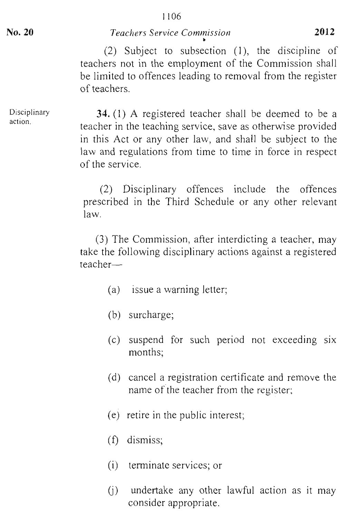Disciplinary action.

**34.** (1) A registered teacher shall be deemed to be a teacher in the teaching service, save as otherwise provided in this Act or any other law, and shall be subject to the law and regulations from time to time in force in respect of the service.

(2) Disciplinary offences include the offences prescribed in the Third Schedule or any other relevant law.

(3) The Commission, after interdicting a teacher, may take the following disciplinary actions against a registered teacher—

- (a) issue a warning letter;
- (b) surcharge;
- (c) suspend for such period not exceeding six months;
- (d) cancel a registration certificate and remove the name of the teacher from the register;
- (e) retire in the public interest;
- (f) dismiss;
- (i) terminate services; or
- (j) undertake any other lawful action as it may consider appropriate.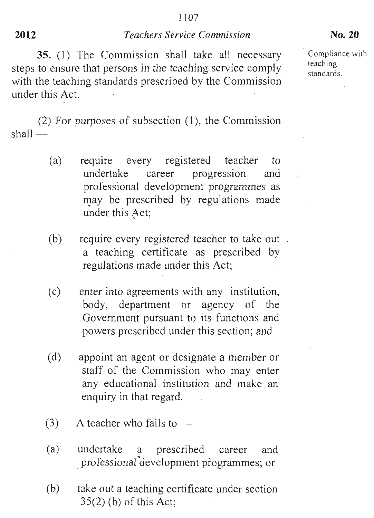**35.** (1) The Commission shall take all necessary Compliance with steps to ensure that persons in the teaching service comply  $\frac{\text{teaching}}{\text{standards}}$ with the teaching standards prescribed by the Commission under this Act.

(2) For purposes of subsection **(1),** the Commission shall —

- (a) require every registered teacher to undertake career progression and professional development programmes as may be prescribed by regulations made under this Act;
- (b) require every registered teacher to take out a teaching certificate as prescribed by regulations made under this Act;
- (c) enter into agreements with any institution, body, department or agency of the Government pursuant to its functions and powers prescribed under this section; and
- (d) appoint an agent or designate a member or staff of the Commission who may enter any educational institution and make an enquiry in that regard.
- $(3)$  A teacher who fails to —
- (a) undertake a prescribed career and professional development programmes; or
- (b) take out a teaching certificate under section 35(2) (b) of this Act;

teaching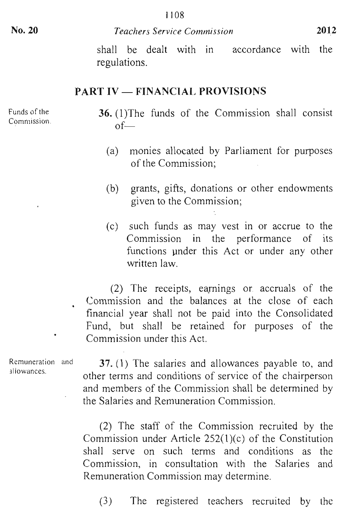shall be dealt with in accordance with the regulations.

# PART IV — FINANCIAL PROVISIONS

Funds of the Commission.

- 36. (1)The funds of the Commission shall consist of—
	- (a) monies allocated by Parliament for purposes of the Commission;
	- (b) grants, gifts, donations or other endowments given to the Commission;
	- (c) such funds as may vest in or accrue to the Commission in the performance of its functions under this Act or under any other written law.

(2) The receipts, earnings or accruals of the Commission and the balances at the close of each financial year shall not be paid into the Consolidated Fund, but shall be retained for purposes of the • Commission under this Act.

Remuneration and allowances.

37. (1) The salaries and allowances payable to, and other terms and conditions of service of the chairperson and members of the Commission shall be determined by the Salaries and Remuneration Commission.

(2) The staff of the Commission recruited by the Commission under Article 252(1)(c) of the Constitution shall serve on such terms and conditions as the Commission, in consultation with the Salaries and Remuneration Commission may determine.

(3) The registered teachers recruited by the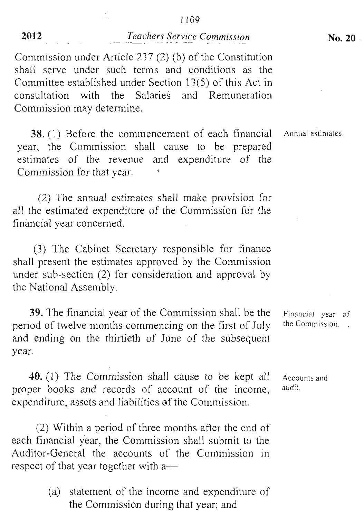Commission under Article 237 (2) (b) of the Constitution shall serve under such terms and conditions as the Committee established under Section 13(5) of this Act in consultation with the Salaries and Remuneration Commission may determine.

38. (1) Before the commencement of each financial year, the Commission shall cause to be prepared estimates of the revenue and expenditure of the Commission for that year.

(2) The annual estimates shall make provision for all the estimated expenditure of the Commission for the financial year concerned.

(3) The Cabinet Secretary responsible for finance shall present the estimates approved by the Commission under sub-section (2) for consideration and approval by the National Assembly.

39. The financial year of the Commission shall be the Financial year of tool of type months communities on the first of July the Commission. period of twelve months commencing on the first of July and ending on the thirtieth of June of the subsequent year.

40. (1) The Commission shall cause to be kept all proper books and records of account of the income, expenditure, assets and liabilities of the Commission.

(2) Within a period of three months after the end of each financial year, the Commission shall submit to the Auditor-General the accounts of the Commission in respect of that year together with a—

> (a) statement of the income and expenditure of the Commission during that year; and

Accounts and .ccour

Annual estimates.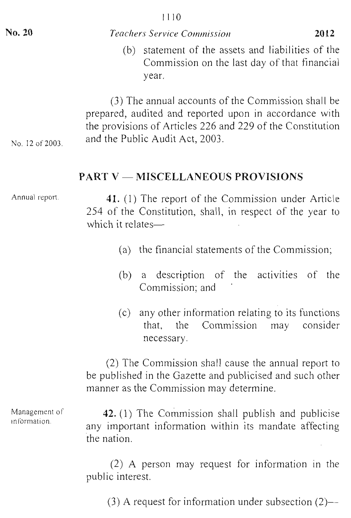| No. 20          | <i>Teachers Service Commission</i>                                                                                                                                                                            | 2012 |
|-----------------|---------------------------------------------------------------------------------------------------------------------------------------------------------------------------------------------------------------|------|
|                 | statement of the assets and liabilities of the<br>(b)<br>Commission on the last day of that financial<br>year.                                                                                                |      |
| No. 12 of 2003. | (3) The annual accounts of the Commission shall be<br>prepared, audited and reported upon in accordance with<br>the provisions of Articles 226 and 229 of the Constitution<br>and the Public Audit Act, 2003. |      |
|                 | <b>PART V — MISCELLANEOUS PROVISIONS</b>                                                                                                                                                                      |      |

Annual report.

41. (1) The report of the Commission under Article 254 of the Constitution, shall, in respect of the year to which it relates—

- (a) the financial statements of the Commission;
- (b) a description of the activities of the Commission; and
- (c) any other information relating to its functions that, the Commission may consider necessary.

(2) The Commission shall cause the annual report to be published in the Gazette and publicised and such other manner as the Commission may determine.

42. (1) The Commission shall publish and publicise any important information within its mandate affecting the nation.

(2) A person may request for information in the public interest.

(3) A request for information under subsection (2)—

Management of information.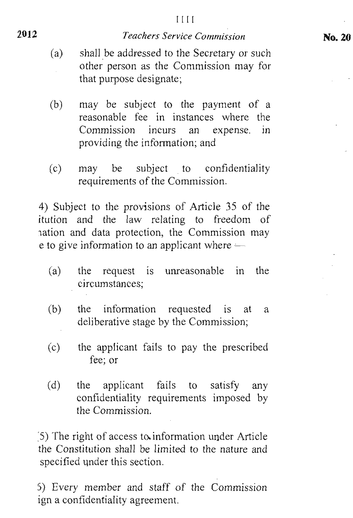- **2012**
- (a) shall be addressed to the Secretary or such other person as the Commission may for that purpose designate;
- (b) may be subject to the payment of a reasonable fee in instances where the Commission incurs an expense. in providing the information; and
- (c) may be subject to confidentiality requirements of the Commission.

4) Subject to the provisions of Article 35 of the itution and the law relating to freedom of nation and data protection, the Commission may e to give information to an applicant where —

- (a) the request is unreasonable in the circumstances;
- (b) the information requested is at a deliberative stage by the Commission;
- (c) the applicant fails to pay the prescribed fee; or
- (d) the applicant fails to satisfy any confidentiality requirements imposed by the Commission.

:5) The right of access to. information under Article the Constitution shall be limited to the nature and specified under this section.

5) Every member and staff of the Commission ign a confidentiality agreement.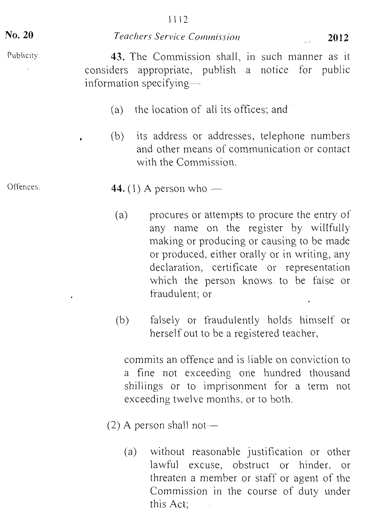No. 20

### *Teachers Service Commission* <sup>2012</sup>

43. The Commission shall, in such manner as it considers appropriate, publish a notice for public information specifying—

- (a) the location of all its offices; and
- (b) its address or addresses, telephone numbers and other means of communication or contact with the Commission.

# Offences.  $44. (1)$  A person who —

- (a) procures or attempts to procure the entry of any name on the register by willfully making or producing or causing to be made or produced, either orally or in writing, any declaration, certificate or representation which the person knows. to be false or fraudulent; or
- (b) falsely or fraudulently holds himself or herself out to be a registered teacher,

commits an offence and is liable on conviction to a fine not exceeding one hundred thousand shillings or to imprisonment for a term not exceeding twelve months, or to both.

- (2) A person shall not—
	- (a) without reasonable justification or other lawful excuse, obstruct or hinder, or threaten a member or staff or agent of the Commission in the course of duty under this Act;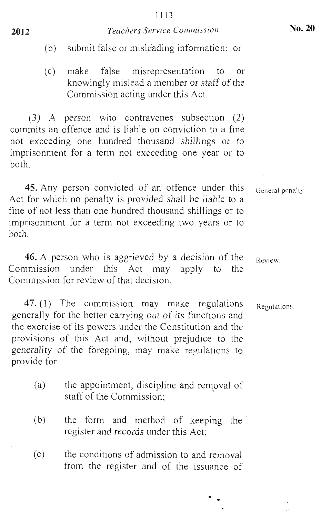(c) make false misrepresentation to or knowingly mislead a member or staff of the Commission acting under this Act.

(3) A person who contravenes subsection (2) commits an offence and is liable on conviction to a fine not exceeding one hundred thousand shillings or to imprisonment for a term not exceeding one year or to both.

45. Any person convicted of an offence under this Act for which no penalty is provided shall be liable to a fine of not less than one hundred thousand shillings or to imprisonment for a term not exceeding two years or to both.

46. A person who is aggrieved by a decision of the Commission under this Act may apply to the Commission for review of that decision.

47. (1) The commission may make regulations generally for the better carrying out of its functions and the exercise of its powers under the Constitution and the provisions of this Act and, without prejudice to the generality of the foregoing, may make regulations to provide for—

- (a) the appointment, discipline and removal of staff of the Commission;
- (b) the form and method of keeping the register and records under this Act;
- (c) the conditions of admission to and removal from the register and of the issuance of

General penalty.

Review.

Regulations.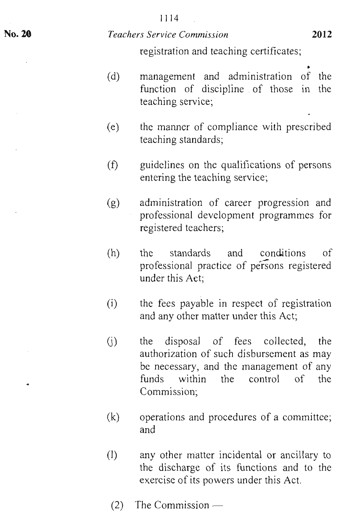#### **1114**

#### *Teachers Service Commission* **<sup>2012</sup>**

registration and teaching certificates;

- (d) management and administration of the function of discipline of those in the teaching service;
- (e) the manner of compliance with prescribed teaching standards;
- $(f)$ guidelines on the qualifications of persons entering the teaching service;
- (g) administration of career progression and professional development programmes for registered teachers;
- (h) the standards and conditions of professional practice of persons registered under this Act;
- the fees payable in respect of registration and any other matter under this Act; (i)
- (j) the disposal of fees collected, the authorization of such disbursement as may be necessary, and the management of any funds within the control of the Commission;
- (k) operations and procedures of a committee; and
- (1) any other matter incidental or ancillary to the discharge of its functions and to the exercise of its powers under this Act.
	- (2) The Commission —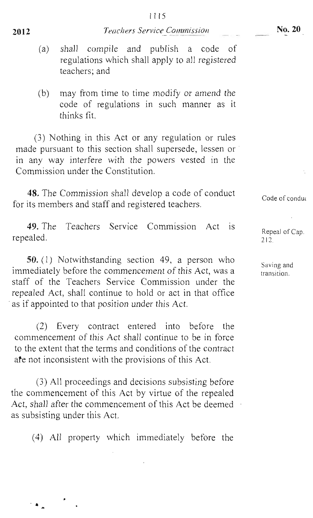- (a) shall compile and publish a code of regulations which shall apply to all registered teachers; and
- (b) may from time to time modify or amend the code of regulations in such manner as it thinks fit.

(3) Nothing in this Act or any regulation or rules made pursuant to this section shall supersede, lessen or in any way interfere with the powers vested in the Commission under the Constitution.

48. The Commission shall develop a code of conduct for its members and staff and registered teachers.

49. The Teachers Service Commission Act is repealed.

50. (1) Notwithstanding section 49, a person who immediately before the commencement of this Act, was a staff of the Teachers Service Commission under the repealed Act, shall continue to hold or act in that office as if appointed to that position under this Act.

(2) Every contract entered into before the commencement of this Act shall continue to be in force to the extent that the terms and conditions of the contract ate not inconsistent with the provisions of this Act.

(3) All proceedings and decisions subsisting before the commencement of this Act by virtue of the repealed Act, shall after the commencement of this Act be deemed as subsisting under this Act.

(4) All property which immediately before the

Code of condui

Repeal of Cap.  $212$ 

Saving and saving and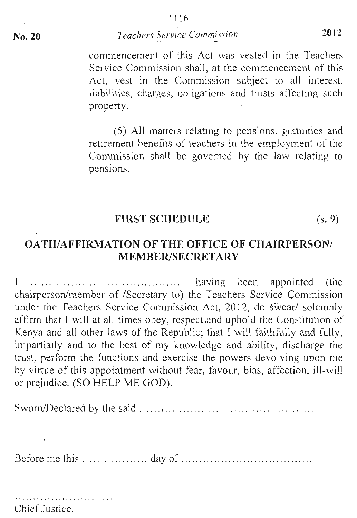commencement of this Act was vested in the Teachers Service Commission shall, at the commencement of this Act, vest in the Commission subject to all interest, liabilities, charges, obligations and trusts affecting such property.

(5) All matters relating to pensions, gratuities and retirement benefits of teachers in the employment of the Commission shall be governed by the law relating to pensions.

# FIRST SCHEDULE (s. 9)

# OATH/AFFIRMATION OF THE OFFICE OF CHAIRPERSON/ MEMBER/SECRETARY

<sup>I</sup>having been appointed (the chairperson/member of /Secretary to) the Teachers Service Commission under the Teachers Service Commission Act, 2012, do swear/ solemnly affirm that I will at all times obey, respect and uphold the Constitution of Kenya and all other laws of the Republic; that I will faithfully and fully, impartially and to the best of my knowledge and ability, discharge the trust, perform the functions and exercise the powers devolving upon me by virtue of this appointment without fear, favour, bias, affection, or prejudice. (SO HELP ME GOD).

Sworn/Declared by the said

Before me this day of

Chief Justice.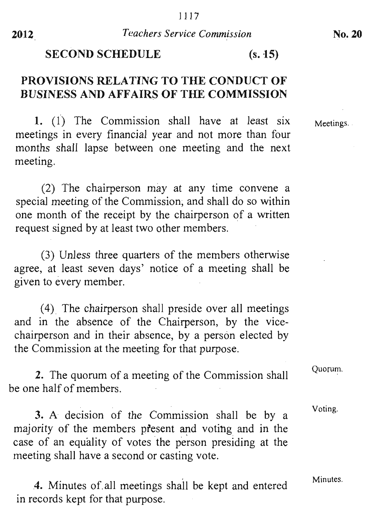# **SECOND SCHEDULE (s. 15)**

# **PROVISIONS RELATING TO THE CONDUCT OF BUSINESS AND AFFAIRS OF THE COMMISSION**

**1.** (1) The Commission shall have at least six meetings in every financial year and not more than four months shall lapse between one meeting and the next meeting.

(2) The chairperson may at any time convene a special meeting of the Commission, and shall do so within one month of the receipt by the chairperson of a written request signed by at least two other members.

(3) Unless three quarters of the members otherwise agree, at least seven days' notice of a meeting shall be given to every member.

(4) The chairperson shall preside over all meetings and in the absence of the Chairperson, by the vicechairperson and in their absence, by a person elected by the Commission at the meeting for that purpose.

**2.** The quorum of a meeting of the Commission shall be one half of members.

**3.** A decision of the Commission shall be by a majority of the members present and voting and in the case of an equality of votes the person presiding at the meeting shall have a second or casting vote.

**4.** Minutes of. all meetings shall be kept and entered in records kept for that purpose.

Meetings.

Quorum.

Voting.

Minutes.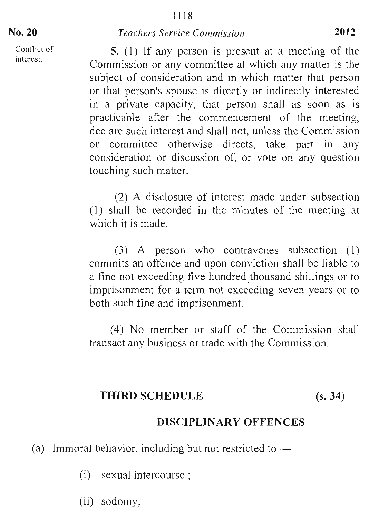Conflict of

### No. 20 *Teachers Service Commission* 2012

Conflict of  $\begin{bmatrix} 5 \\ 1 \end{bmatrix}$  If any person is present at a meeting of the Commission or any committee at which any matter is the subject of consideration and in which matter that person or that person's spouse is directly or indirectly interested in a private capacity, that person shall as soon as is practicable after the commencement of the meeting, declare such interest and shall not, unless the Commission or committee otherwise directs, take part in any consideration or discussion of, or vote on any question touching such matter.

> (2) A disclosure of interest made under subsection (1) shall be recorded in the minutes of the meeting at which it is made.

> (3) A person who contravenes subsection (1) commits an offence and upon conviction shall be liable to a fine not exceeding five hundred thousand shillings or to imprisonment for a term not exceeding seven years or to both such fine and imprisonment.

> (4) No member or staff of the Commission shall transact any business or trade with the Commission.

#### THIRD SCHEDULE (s. 34)

# DISCIPLINARY OFFENCES

(a) Immoral behavior, including but not restricted to —

(i) sexual intercourse ;

(ii) sodomy;